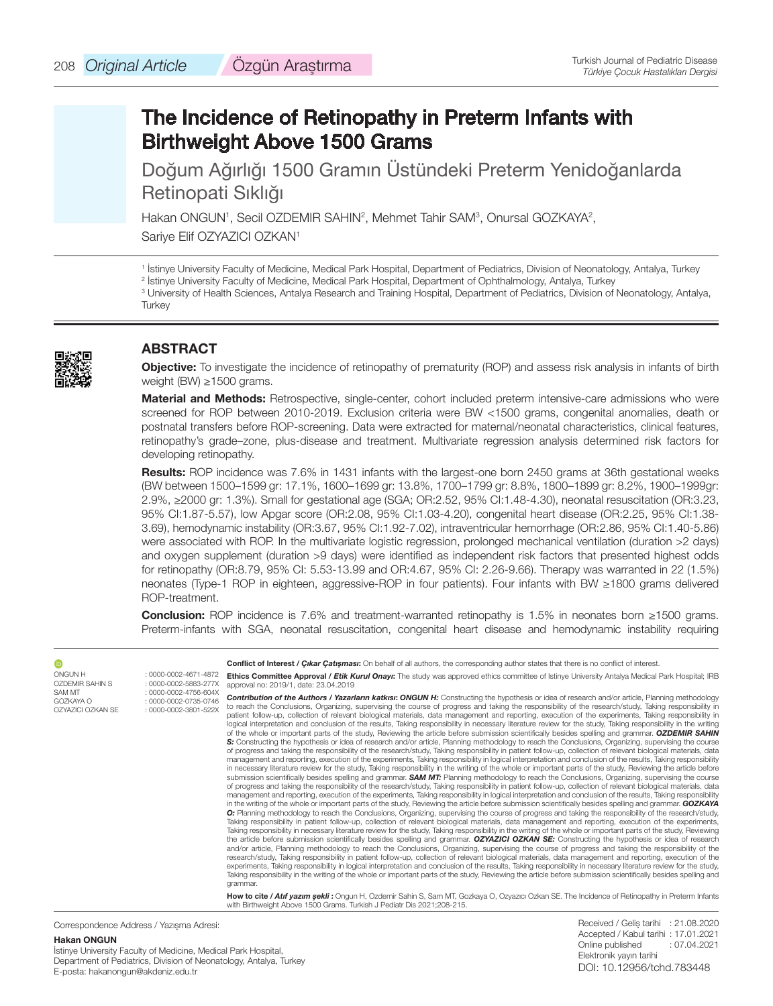# The Incidence of Retinopathy in Preterm Infants with Birthweight Above 1500 Grams

Doğum Ağırlığı 1500 Gramın Üstündeki Preterm Yenidoğanlarda Retinopati Sıklığı

Hakan ONGUN<sup>1</sup>, Secil OZDEMIR SAHIN<sup>2</sup>, Mehmet Tahir SAM<sup>3</sup>, Onursal GOZKAYA<sup>2</sup>, Sariye Elif OZYAZICI OZKAN<sup>1</sup>

1 İstinye University Faculty of Medicine, Medical Park Hospital, Department of Pediatrics, Division of Neonatology, Antalya, Turkey

<sup>2</sup> Istinye University Faculty of Medicine, Medical Park Hospital, Department of Ophthalmology, Antalya, Turkey 3 University of Health Sciences, Antalya Research and Training Hospital, Department of Pediatrics, Division of Neonatology, Antalya, **Turkey** 

## **ABSTRACT**

**Objective:** To investigate the incidence of retinopathy of prematurity (ROP) and assess risk analysis in infants of birth weight (BW) ≥1500 grams.

**Material and Methods:** Retrospective, single-center, cohort included preterm intensive-care admissions who were screened for ROP between 2010-2019. Exclusion criteria were BW <1500 grams, congenital anomalies, death or postnatal transfers before ROP-screening. Data were extracted for maternal/neonatal characteristics, clinical features, retinopathy's grade–zone, plus-disease and treatment. Multivariate regression analysis determined risk factors for developing retinopathy.

**Results:** ROP incidence was 7.6% in 1431 infants with the largest-one born 2450 grams at 36th gestational weeks (BW between 1500–1599 gr: 17.1%, 1600–1699 gr: 13.8%, 1700–1799 gr: 8.8%, 1800–1899 gr: 8.2%, 1900–1999gr: 2.9%, ≥2000 gr: 1.3%). Small for gestational age (SGA; OR:2.52, 95% CI:1.48-4.30), neonatal resuscitation (OR:3.23, 95% CI:1.87-5.57), low Apgar score (OR:2.08, 95% CI:1.03-4.20), congenital heart disease (OR:2.25, 95% CI:1.38- 3.69), hemodynamic instability (OR:3.67, 95% CI:1.92-7.02), intraventricular hemorrhage (OR:2.86, 95% CI:1.40-5.86) were associated with ROP. In the multivariate logistic regression, prolonged mechanical ventilation (duration >2 days) and oxygen supplement (duration >9 days) were identified as independent risk factors that presented highest odds for retinopathy (OR:8.79, 95% CI: 5.53-13.99 and OR:4.67, 95% CI: 2.26-9.66). Therapy was warranted in 22 (1.5%) neonates (Type-1 ROP in eighteen, aggressive-ROP in four patients). Four infants with BW ≥1800 grams delivered ROP-treatment.

**Conclusion:** ROP incidence is 7.6% and treatment-warranted retinopathy is 1.5% in neonates born ≥1500 grams. Preterm-infants with SGA, neonatal resuscitation, congenital heart disease and hemodynamic instability requiring

| Û                                        |                                                                                 | <b>Conflict of Interest / Cikar Catismasi:</b> On behalf of all authors, the corresponding author states that there is no conflict of interest.                                                                                                                                                                                                                                                                                                                                                                                                                                                                                                                                                                                                                                                                                                                                                                                                                                                                                                                                                                                                                                                                                                                                                                                                                                                                                                                                                                                                                                                                                                                                                                                                                                                                                                                                                                                                                                                                                                                                                                                                                                                                                                                                                                                                                                                                                                                                                                                                                                                                                                                                                                                                                                                                                                                                                                                                                                                                                                                                                                                                                                                                                                                                                                                                                                                                          |
|------------------------------------------|---------------------------------------------------------------------------------|--------------------------------------------------------------------------------------------------------------------------------------------------------------------------------------------------------------------------------------------------------------------------------------------------------------------------------------------------------------------------------------------------------------------------------------------------------------------------------------------------------------------------------------------------------------------------------------------------------------------------------------------------------------------------------------------------------------------------------------------------------------------------------------------------------------------------------------------------------------------------------------------------------------------------------------------------------------------------------------------------------------------------------------------------------------------------------------------------------------------------------------------------------------------------------------------------------------------------------------------------------------------------------------------------------------------------------------------------------------------------------------------------------------------------------------------------------------------------------------------------------------------------------------------------------------------------------------------------------------------------------------------------------------------------------------------------------------------------------------------------------------------------------------------------------------------------------------------------------------------------------------------------------------------------------------------------------------------------------------------------------------------------------------------------------------------------------------------------------------------------------------------------------------------------------------------------------------------------------------------------------------------------------------------------------------------------------------------------------------------------------------------------------------------------------------------------------------------------------------------------------------------------------------------------------------------------------------------------------------------------------------------------------------------------------------------------------------------------------------------------------------------------------------------------------------------------------------------------------------------------------------------------------------------------------------------------------------------------------------------------------------------------------------------------------------------------------------------------------------------------------------------------------------------------------------------------------------------------------------------------------------------------------------------------------------------------------------------------------------------------------------------------------------------------|
| <b>ONGUN H</b><br><b>OZDEMIR SAHIN S</b> | : 0000-0002-4671-4872<br>: 0000-0002-5883-277X                                  | <b>Ethics Committee Approval / Etik Kurul Onavi:</b> The study was approved ethics committee of Istinve University Antalya Medical Park Hospital: IRB<br>approval no: 2019/1, date: 23.04.2019                                                                                                                                                                                                                                                                                                                                                                                                                                                                                                                                                                                                                                                                                                                                                                                                                                                                                                                                                                                                                                                                                                                                                                                                                                                                                                                                                                                                                                                                                                                                                                                                                                                                                                                                                                                                                                                                                                                                                                                                                                                                                                                                                                                                                                                                                                                                                                                                                                                                                                                                                                                                                                                                                                                                                                                                                                                                                                                                                                                                                                                                                                                                                                                                                           |
| SAM MT<br>GOZKAYA O<br>OZYAZICI OZKAN SE | $: 0000 - 0002 - 4756 - 604X$<br>: 0000-0002-0735-0746<br>: 0000-0002-3801-522X | <b>Contribution of the Authors / Yazarların katkısı: ONGUN H:</b> Constructing the hypothesis or idea of research and/or article, Planning methodology<br>to reach the Conclusions, Organizing, supervising the course of progress and taking the responsibility of the research/study, Taking responsibility in<br>patient follow-up, collection of relevant biological materials, data management and reporting, execution of the experiments, Taking responsibility in<br>logical interpretation and conclusion of the results, Taking responsibility in necessary literature review for the study, Taking responsibility in the writing<br>of the whole or important parts of the study, Reviewing the article before submission scientifically besides spelling and grammar. OZDEMIR SAHIN<br>S: Constructing the hypothesis or idea of research and/or article, Planning methodology to reach the Conclusions, Organizing, supervising the course<br>of progress and taking the responsibility of the research/study, Taking responsibility in patient follow-up, collection of relevant biological materials, data<br>management and reporting, execution of the experiments, Taking responsibility in logical interpretation and conclusion of the results, Taking responsibility<br>in necessary literature review for the study, Taking responsibility in the writing of the whole or important parts of the study, Reviewing the article before<br>submission scientifically besides spelling and grammar. SAM MT: Planning methodology to reach the Conclusions, Organizing, supervising the course<br>of progress and taking the responsibility of the research/study, Taking responsibility in patient follow-up, collection of relevant biological materials, data<br>management and reporting, execution of the experiments, Taking responsibility in logical interpretation and conclusion of the results, Taking responsibility<br>in the writing of the whole or important parts of the study. Reviewing the article before submission scientifically besides spelling and grammar. GOZKAYA<br>O: Planning methodology to reach the Conclusions, Organizing, supervising the course of progress and taking the responsibility of the research/study,<br>Taking responsibility in patient follow-up, collection of relevant biological materials, data management and reporting, execution of the experiments,<br>Taking responsibility in necessary literature review for the study, Taking responsibility in the writing of the whole or important parts of the study, Reviewing<br>the article before submission scientifically besides spelling and grammar. OZYAZICI OZKAN SE: Constructing the hypothesis or idea of research<br>and/or article, Planning methodology to reach the Conclusions, Organizing, supervising the course of progress and taking the responsibility of the<br>research/study, Taking responsibility in patient follow-up, collection of relevant biological materials, data management and reporting, execution of the<br>experiments, Taking responsibility in logical interpretation and conclusion of the results, Taking responsibility in necessary literature review for the study,<br>Taking responsibility in the writing of the whole or important parts of the study, Reviewing the article before submission scientifically besides spelling and<br>grammar. |
|                                          |                                                                                 | How to cite / Atif yazım sekli: Ongun H, Ozdemir Sahin S, Sam MT, Gozkaya O, Ozyazıcı Ozkan SE. The Incidence of Retinopathy in Preterm Infants<br>with Birthweight Above 1500 Grams. Turkish J Pediatr Dis 2021;208-215.                                                                                                                                                                                                                                                                                                                                                                                                                                                                                                                                                                                                                                                                                                                                                                                                                                                                                                                                                                                                                                                                                                                                                                                                                                                                                                                                                                                                                                                                                                                                                                                                                                                                                                                                                                                                                                                                                                                                                                                                                                                                                                                                                                                                                                                                                                                                                                                                                                                                                                                                                                                                                                                                                                                                                                                                                                                                                                                                                                                                                                                                                                                                                                                                |

Correspondence Address / Yazışma Adresi:

#### **Hakan ONGUN** İstinye University Faculty of Medicine, Medical Park Hospital, Department of Pediatrics, Division of Neonatology, Antalya, Turkey E-posta: hakanongun@akdeniz.edu.tr

Received / Geliş tarihi : 21.08.2020 Accepted / Kabul tarihi : 17.01.2021 Online published : 07.04.2021 Elektronik yayın tarihi DOI: 10.12956/tchd.783448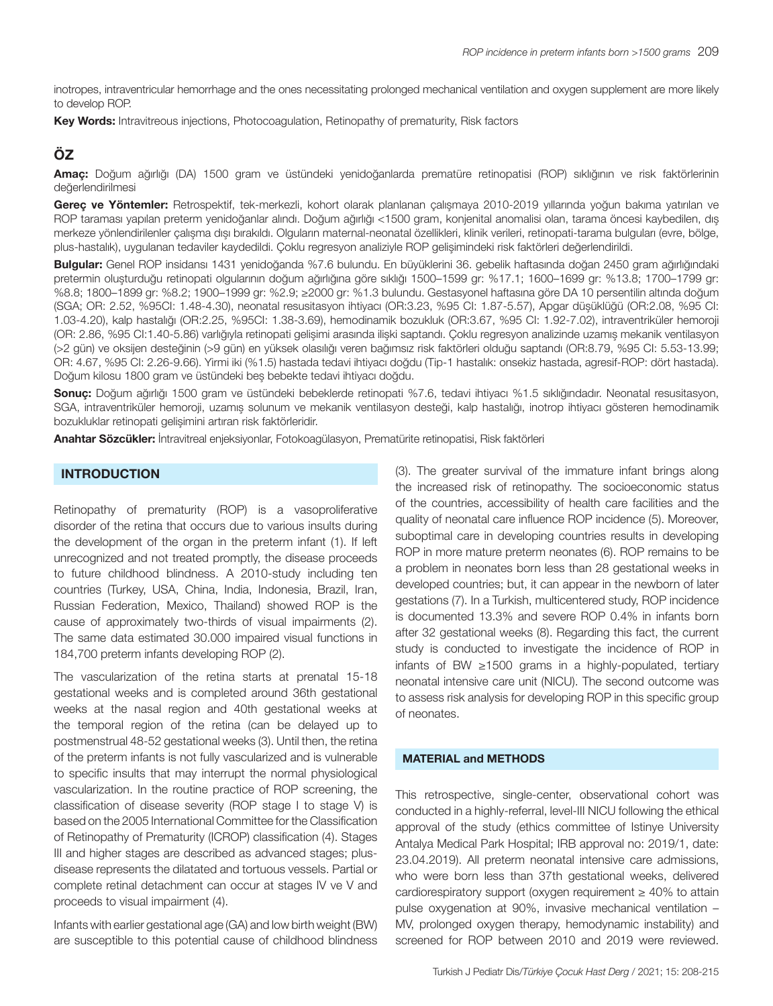inotropes, intraventricular hemorrhage and the ones necessitating prolonged mechanical ventilation and oxygen supplement are more likely to develop ROP.

**Key Words:** Intravitreous injections, Photocoagulation, Retinopathy of prematurity, Risk factors

# **ÖZ**

**Amaç:** Doğum ağırlığı (DA) 1500 gram ve üstündeki yenidoğanlarda prematüre retinopatisi (ROP) sıklığının ve risk faktörlerinin değerlendirilmesi

Gerec ve Yöntemler: Retrospektif, tek-merkezli, kohort olarak planlanan calısmaya 2010-2019 yıllarında yoğun bakıma yatırılan ve ROP taraması yapılan preterm yenidoğanlar alındı. Doğum ağırlığı <1500 gram, konjenital anomalisi olan, tarama öncesi kaybedilen, dış merkeze yönlendirilenler çalışma dışı bırakıldı. Olguların maternal-neonatal özellikleri, klinik verileri, retinopati-tarama bulguları (evre, bölge, plus-hastalık), uygulanan tedaviler kaydedildi. Çoklu regresyon analiziyle ROP gelişimindeki risk faktörleri değerlendirildi.

**Bulgular:** Genel ROP insidansı 1431 yenidoğanda %7.6 bulundu. En büyüklerini 36. gebelik haftasında doğan 2450 gram ağırlığındaki pretermin oluşturduğu retinopati olgularının doğum ağırlığına göre sıklığı 1500–1599 gr: %17.1; 1600–1699 gr: %13.8; 1700–1799 gr: %8.8; 1800–1899 gr: %8.2; 1900–1999 gr: %2.9; ≥2000 gr: %1.3 bulundu. Gestasyonel haftasına göre DA 10 persentilin altında doğum (SGA; OR: 2.52, %95CI: 1.48-4.30), neonatal resusitasyon ihtiyacı (OR:3.23, %95 CI: 1.87-5.57), Apgar düşüklüğü (OR:2.08, %95 CI: 1.03-4.20), kalp hastalığı (OR:2.25, %95CI: 1.38-3.69), hemodinamik bozukluk (OR:3.67, %95 CI: 1.92-7.02), intraventriküler hemoroji (OR: 2.86, %95 CI:1.40-5.86) varlığıyla retinopati gelişimi arasında ilişki saptandı. Çoklu regresyon analizinde uzamış mekanik ventilasyon (>2 gün) ve oksijen desteğinin (>9 gün) en yüksek olasılığı veren bağımsız risk faktörleri olduğu saptandı (OR:8.79, %95 CI: 5.53-13.99; OR: 4.67, %95 CI: 2.26-9.66). Yirmi iki (%1.5) hastada tedavi ihtiyacı doğdu (Tip-1 hastalık: onsekiz hastada, agresif-ROP: dört hastada). Doğum kilosu 1800 gram ve üstündeki beş bebekte tedavi ihtiyacı doğdu.

**Sonuç:** Doğum ağırlığı 1500 gram ve üstündeki bebeklerde retinopati %7.6, tedavi ihtiyacı %1.5 sıklığındadır. Neonatal resusitasyon, SGA, intraventriküler hemoroji, uzamış solunum ve mekanik ventilasyon desteği, kalp hastalığı, inotrop ihtiyacı gösteren hemodinamik bozukluklar retinopati gelişimini artıran risk faktörleridir.

**Anahtar Sözcükler:** İntravitreal enjeksiyonlar, Fotokoagülasyon, Prematürite retinopatisi, Risk faktörleri

## **INTRODUCTION**

Retinopathy of prematurity (ROP) is a vasoproliferative disorder of the retina that occurs due to various insults during the development of the organ in the preterm infant (1). If left unrecognized and not treated promptly, the disease proceeds to future childhood blindness. A 2010-study including ten countries (Turkey, USA, China, India, Indonesia, Brazil, Iran, Russian Federation, Mexico, Thailand) showed ROP is the cause of approximately two-thirds of visual impairments (2). The same data estimated 30.000 impaired visual functions in 184,700 preterm infants developing ROP (2).

The vascularization of the retina starts at prenatal 15-18 gestational weeks and is completed around 36th gestational weeks at the nasal region and 40th gestational weeks at the temporal region of the retina (can be delayed up to postmenstrual 48-52 gestational weeks (3). Until then, the retina of the preterm infants is not fully vascularized and is vulnerable to specific insults that may interrupt the normal physiological vascularization. In the routine practice of ROP screening, the classification of disease severity (ROP stage I to stage V) is based on the 2005 International Committee for the Classification of Retinopathy of Prematurity (ICROP) classification (4). Stages III and higher stages are described as advanced stages; plusdisease represents the dilatated and tortuous vessels. Partial or complete retinal detachment can occur at stages IV ve V and proceeds to visual impairment (4).

Infants with earlier gestational age (GA) and low birth weight (BW) are susceptible to this potential cause of childhood blindness (3). The greater survival of the immature infant brings along the increased risk of retinopathy. The socioeconomic status of the countries, accessibility of health care facilities and the quality of neonatal care influence ROP incidence (5). Moreover, suboptimal care in developing countries results in developing ROP in more mature preterm neonates (6). ROP remains to be a problem in neonates born less than 28 gestational weeks in developed countries; but, it can appear in the newborn of later gestations (7). In a Turkish, multicentered study, ROP incidence is documented 13.3% and severe ROP 0.4% in infants born after 32 gestational weeks (8). Regarding this fact, the current study is conducted to investigate the incidence of ROP in infants of BW ≥1500 grams in a highly-populated, tertiary neonatal intensive care unit (NICU). The second outcome was to assess risk analysis for developing ROP in this specific group of neonates.

### **MATERIAL and METHODS**

This retrospective, single-center, observational cohort was conducted in a highly-referral, level-III NICU following the ethical approval of the study (ethics committee of Istinye University Antalya Medical Park Hospital; IRB approval no: 2019/1, date: 23.04.2019). All preterm neonatal intensive care admissions, who were born less than 37th gestational weeks, delivered cardiorespiratory support (oxygen requirement  $\geq 40\%$  to attain pulse oxygenation at 90%, invasive mechanical ventilation – MV, prolonged oxygen therapy, hemodynamic instability) and screened for ROP between 2010 and 2019 were reviewed.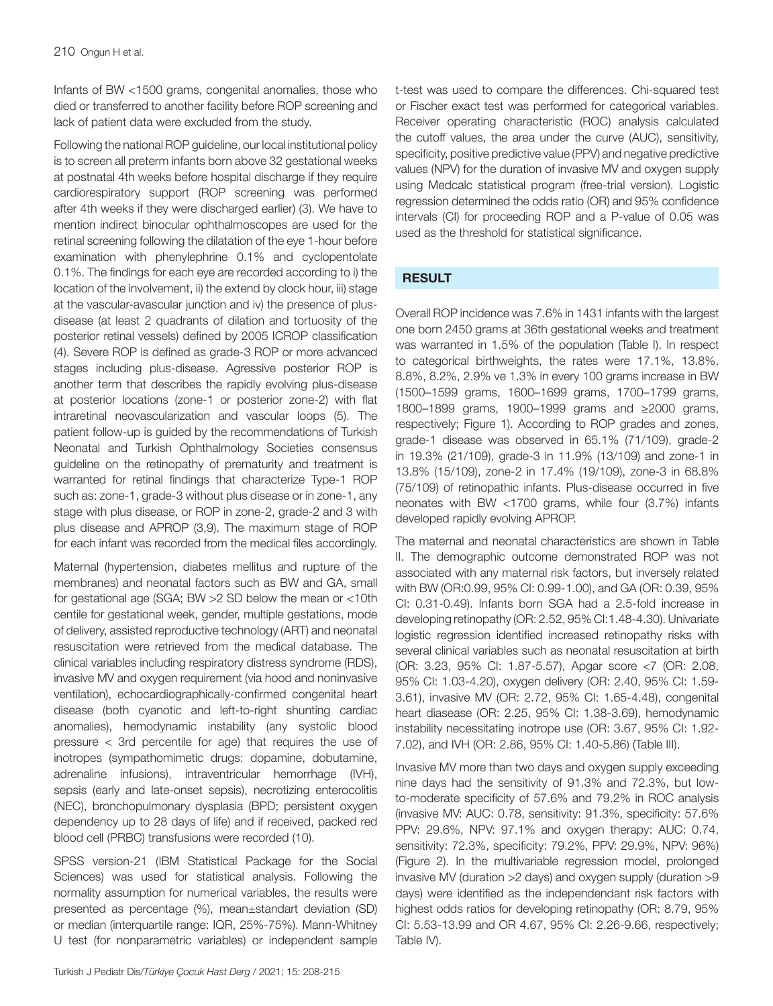Infants of BW <1500 grams, congenital anomalies, those who died or transferred to another facility before ROP screening and lack of patient data were excluded from the study.

Following the national ROP guideline, our local institutional policy is to screen all preterm infants born above 32 gestational weeks at postnatal 4th weeks before hospital discharge if they require cardiorespiratory support (ROP screening was performed after 4th weeks if they were discharged earlier) (3). We have to mention indirect binocular ophthalmoscopes are used for the retinal screening following the dilatation of the eye 1-hour before examination with phenylephrine 0.1% and cyclopentolate 0.1%. The findings for each eye are recorded according to i) the location of the involvement, ii) the extend by clock hour, iii) stage at the vascular-avascular junction and iv) the presence of plusdisease (at least 2 quadrants of dilation and tortuosity of the posterior retinal vessels) defined by 2005 ICROP classification (4). Severe ROP is defined as grade-3 ROP or more advanced stages including plus-disease. Agressive posterior ROP is another term that describes the rapidly evolving plus-disease at posterior locations (zone-1 or posterior zone-2) with flat intraretinal neovascularization and vascular loops (5). The patient follow-up is guided by the recommendations of Turkish Neonatal and Turkish Ophthalmology Societies consensus guideline on the retinopathy of prematurity and treatment is warranted for retinal findings that characterize Type-1 ROP such as: zone-1, grade-3 without plus disease or in zone-1, any stage with plus disease, or ROP in zone-2, grade-2 and 3 with plus disease and APROP (3,9). The maximum stage of ROP for each infant was recorded from the medical files accordingly.

Maternal (hypertension, diabetes mellitus and rupture of the membranes) and neonatal factors such as BW and GA, small for gestational age (SGA; BW >2 SD below the mean or <10th centile for gestational week, gender, multiple gestations, mode of delivery, assisted reproductive technology (ART) and neonatal resuscitation were retrieved from the medical database. The clinical variables including respiratory distress syndrome (RDS), invasive MV and oxygen requirement (via hood and noninvasive ventilation), echocardiographically-confirmed congenital heart disease (both cyanotic and left-to-right shunting cardiac anomalies), hemodynamic instability (any systolic blood pressure < 3rd percentile for age) that requires the use of inotropes (sympathomimetic drugs: dopamine, dobutamine, adrenaline infusions), intraventricular hemorrhage (IVH), sepsis (early and late-onset sepsis), necrotizing enterocolitis (NEC), bronchopulmonary dysplasia (BPD; persistent oxygen dependency up to 28 days of life) and if received, packed red blood cell (PRBC) transfusions were recorded (10).

SPSS version-21 (IBM Statistical Package for the Social Sciences) was used for statistical analysis. Following the normality assumption for numerical variables, the results were presented as percentage (%), mean±standart deviation (SD) or median (interquartile range: IQR, 25%-75%). Mann-Whitney U test (for nonparametric variables) or independent sample t-test was used to compare the differences. Chi-squared test or Fischer exact test was performed for categorical variables. Receiver operating characteristic (ROC) analysis calculated the cutoff values, the area under the curve (AUC), sensitivity, specificity, positive predictive value (PPV) and negative predictive values (NPV) for the duration of invasive MV and oxygen supply using Medcalc statistical program (free-trial version). Logistic regression determined the odds ratio (OR) and 95% confidence intervals (CI) for proceeding ROP and a P-value of 0.05 was used as the threshold for statistical significance.

## **RESULT**

Overall ROP incidence was 7.6% in 1431 infants with the largest one born 2450 grams at 36th gestational weeks and treatment was warranted in 1.5% of the population (Table I). In respect to categorical birthweights, the rates were 17.1%, 13.8%, 8.8%, 8.2%, 2.9% ve 1.3% in every 100 grams increase in BW (1500–1599 grams, 1600–1699 grams, 1700–1799 grams, 1800–1899 grams, 1900–1999 grams and ≥2000 grams, respectively; Figure 1). According to ROP grades and zones, grade-1 disease was observed in 65.1% (71/109), grade-2 in 19.3% (21/109), grade-3 in 11.9% (13/109) and zone-1 in 13.8% (15/109), zone-2 in 17.4% (19/109), zone-3 in 68.8% (75/109) of retinopathic infants. Plus-disease occurred in five neonates with BW <1700 grams, while four (3.7%) infants developed rapidly evolving APROP.

The maternal and neonatal characteristics are shown in Table II. The demographic outcome demonstrated ROP was not associated with any maternal risk factors, but inversely related with BW (OR:0.99, 95% CI: 0.99-1.00), and GA (OR: 0.39, 95% CI: 0.31-0.49). Infants born SGA had a 2.5-fold increase in developing retinopathy (OR: 2.52, 95% CI:1.48-4.30). Univariate logistic regression identified increased retinopathy risks with several clinical variables such as neonatal resuscitation at birth (OR: 3.23, 95% CI: 1.87-5.57), Apgar score <7 (OR: 2.08, 95% CI: 1.03-4.20), oxygen delivery (OR: 2.40, 95% CI: 1.59- 3.61), invasive MV (OR: 2.72, 95% CI: 1.65-4.48), congenital heart diasease (OR: 2.25, 95% CI: 1.38-3.69), hemodynamic instability necessitating inotrope use (OR: 3.67, 95% CI: 1.92- 7.02), and IVH (OR: 2.86, 95% CI: 1.40-5.86) (Table III).

Invasive MV more than two days and oxygen supply exceeding nine days had the sensitivity of 91.3% and 72.3%, but lowto-moderate specificity of 57.6% and 79.2% in ROC analysis (invasive MV: AUC: 0.78, sensitivity: 91.3%, specificity: 57.6% PPV: 29.6%, NPV: 97.1% and oxygen therapy: AUC: 0.74, sensitivity: 72.3%, specificity: 79.2%, PPV: 29.9%, NPV: 96%) (Figure 2). In the multivariable regression model, prolonged invasive MV (duration >2 days) and oxygen supply (duration >9 days) were identified as the independendant risk factors with highest odds ratios for developing retinopathy (OR: 8.79, 95% CI: 5.53-13.99 and OR 4.67, 95% CI: 2.26-9.66, respectively; Table IV).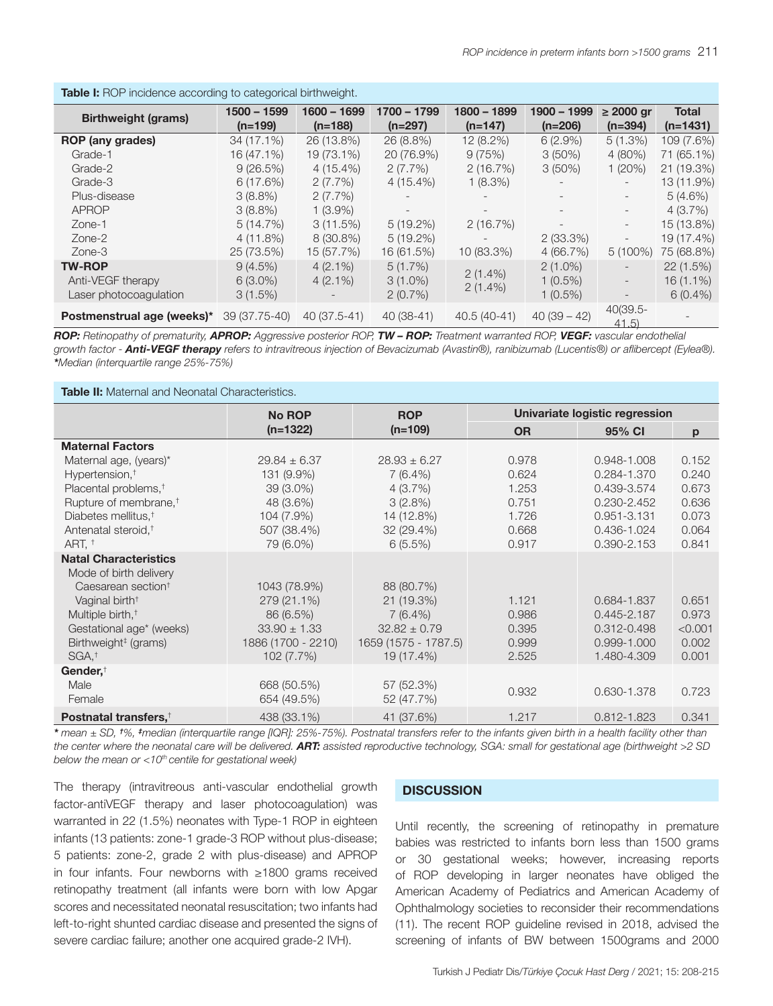| <b>Table I:</b> ROP incidence according to categorical birthweight. |               |              |             |               |                          |                              |              |  |  |
|---------------------------------------------------------------------|---------------|--------------|-------------|---------------|--------------------------|------------------------------|--------------|--|--|
|                                                                     | $1500 - 1599$ | 1600 - 1699  | 1700 - 1799 | $1800 - 1899$ | $1900 - 1999$            | $\geq$ 2000 gr               | <b>Total</b> |  |  |
| <b>Birthweight (grams)</b>                                          | $(n=199)$     | $(n=188)$    | $(n=297)$   | $(n=147)$     | $(n=206)$                | $(n=394)$                    | $(n=1431)$   |  |  |
| ROP (any grades)                                                    | 34 (17.1%)    | 26 (13.8%)   | 26 (8.8%)   | 12 (8.2%)     | $6(2.9\%)$               | 5(1.3%)                      | 109 (7.6%)   |  |  |
| Grade-1                                                             | 16 (47.1%)    | 19 (73.1%)   | 20 (76.9%)  | 9(75%)        | 3(50%)                   | 4(80%)                       | 71 (65.1%)   |  |  |
| Grade-2                                                             | 9(26.5%)      | $4(15.4\%)$  | $2(7.7\%)$  | 2(16.7%)      | $3(50\%)$                | 1(20%)                       | 21 (19.3%)   |  |  |
| Grade-3                                                             | 6(17.6%)      | $2(7.7\%)$   | $4(15.4\%)$ | $1(8.3\%)$    |                          |                              | 13 (11.9%)   |  |  |
| Plus-disease                                                        | $3(8.8\%)$    | 2(7.7%)      |             |               | $\overline{\phantom{0}}$ | $\overline{\phantom{a}}$     | 5(4.6%)      |  |  |
| <b>APROP</b>                                                        | $3(8.8\%)$    | $1(3.9\%)$   |             |               | $\overline{\phantom{0}}$ |                              | 4 (3.7%)     |  |  |
| Zone-1                                                              | 5(14.7%)      | 3(11.5%)     | $5(19.2\%)$ | 2(16.7%)      | $\overline{\phantom{a}}$ | $\overline{\phantom{a}}$     | 15 (13.8%)   |  |  |
| Zone-2                                                              | $4(11.8\%)$   | 8 (30.8%)    | $5(19.2\%)$ |               | $2(33.3\%)$              | $\overline{\phantom{a}}$     | 19 (17.4%)   |  |  |
| Zone-3                                                              | 25 (73.5%)    | 15 (57.7%)   | 16 (61.5%)  | 10 (83.3%)    | 4 (66.7%)                | $5(100\%)$                   | 75 (68.8%)   |  |  |
| <b>TW-ROP</b>                                                       | 9(4.5%)       | $4(2.1\%)$   | 5(1.7%)     |               | $2(1.0\%)$               | $\overline{\phantom{a}}$     | 22(1.5%)     |  |  |
| Anti-VEGF therapy                                                   | $6(3.0\%)$    | $4(2.1\%)$   | $3(1.0\%)$  | $2(1.4\%)$    | $1(0.5\%)$               | $\qquad \qquad \blacksquare$ | $16(1.1\%)$  |  |  |
| Laser photocoaqulation                                              | 3(1.5%)       |              | 2(0.7%)     | $2(1.4\%)$    | $1(0.5\%)$               |                              | $6(0.4\%)$   |  |  |
| <b>Postmenstrual age (weeks)*</b> 39 (37.75-40)                     |               | 40 (37.5-41) | $40(38-41)$ | 40.5 (40-41)  | $40(39-42)$              | $40(39.5 -$<br>41.5          |              |  |  |

*ROP: Retinopathy of prematurity, APROP: Aggressive posterior ROP, TW – ROP: Treatment warranted ROP, VEGF: vascular endothelial growth factor - Anti-VEGF therapy refers to intravitreous injection of Bevacizumab (Avastin®), ranibizumab (Lucentis®) or aflibercept (Eylea®). \*Median (interquartile range 25%-75%)* 

#### **Table II:** Maternal and Neonatal Characteristics.

|                                                                                                                  | <b>No ROP</b>                                                    | <b>ROP</b>                                                           | Univariate logistic regression   |                                                              |                                    |
|------------------------------------------------------------------------------------------------------------------|------------------------------------------------------------------|----------------------------------------------------------------------|----------------------------------|--------------------------------------------------------------|------------------------------------|
|                                                                                                                  | $(n=1322)$                                                       | $(n=109)$                                                            | <b>OR</b>                        | 95% CI                                                       | p                                  |
| <b>Maternal Factors</b>                                                                                          |                                                                  |                                                                      |                                  |                                                              |                                    |
| Maternal age, (years)*                                                                                           | $29.84 \pm 6.37$                                                 | $28.93 \pm 6.27$                                                     | 0.978                            | 0.948-1.008                                                  | 0.152                              |
| Hypertension, <sup>†</sup>                                                                                       | 131 (9.9%)                                                       | $7(6.4\%)$                                                           | 0.624                            | 0.284-1.370                                                  | 0.240                              |
| Placental problems, <sup>†</sup>                                                                                 | 39 (3.0%)                                                        | 4(3.7%)                                                              | 1.253                            | 0.439-3.574                                                  | 0.673                              |
| Rupture of membrane, <sup>†</sup>                                                                                | 48 (3.6%)                                                        | 3(2.8%)                                                              | 0.751                            | 0.230-2.452                                                  | 0.636                              |
| Diabetes mellitus, <sup>†</sup>                                                                                  | 104 (7.9%)                                                       | 14 (12.8%)                                                           | 1.726                            | 0.951-3.131                                                  | 0.073                              |
| Antenatal steroid, <sup>†</sup>                                                                                  | 507 (38.4%)                                                      | 32 (29.4%)                                                           | 0.668                            | 0.436-1.024                                                  | 0.064                              |
| ART. <sup>+</sup>                                                                                                | 79 (6.0%)                                                        | 6(5.5%)                                                              | 0.917                            | 0.390-2.153                                                  | 0.841                              |
| <b>Natal Characteristics</b><br>Mode of birth delivery<br>Caesarean section <sup>†</sup>                         | 1043 (78.9%)                                                     | 88 (80.7%)                                                           |                                  |                                                              |                                    |
| Vaginal birth <sup>+</sup>                                                                                       | 279 (21.1%)                                                      | 21 (19.3%)                                                           | 1.121                            | 0.684-1.837                                                  | 0.651                              |
| Multiple birth, <sup>†</sup><br>Gestational age* (weeks)<br>Birthweight <sup>#</sup> (grams)<br>SGA <sup>†</sup> | 86 (6.5%)<br>$33.90 \pm 1.33$<br>1886 (1700 - 2210)<br>102(7.7%) | $7(6.4\%)$<br>$32.82 \pm 0.79$<br>1659 (1575 - 1787.5)<br>19 (17.4%) | 0.986<br>0.395<br>0.999<br>2.525 | $0.445 - 2.187$<br>0.312-0.498<br>0.999-1.000<br>1.480-4.309 | 0.973<br>< 0.001<br>0.002<br>0.001 |
| Gender, <sup>†</sup><br>Male<br>Female                                                                           | 668 (50.5%)<br>654 (49.5%)                                       | 57 (52.3%)<br>52 (47.7%)                                             | 0.932                            | 0.630-1.378                                                  | 0.723                              |
| Postnatal transfers, <sup>†</sup>                                                                                | 438 (33.1%)                                                      | 41 (37.6%)                                                           | 1.217                            | 0.812-1.823                                                  | 0.341                              |

*\* mean ± SD, †%, ‡median (interquartile range [IQR]: 25%-75%). Postnatal transfers refer to the infants given birth in a health facility other than the center where the neonatal care will be delivered. ART: assisted reproductive technology, SGA: small for gestational age (birthweight >2 SD below the mean or <10th centile for gestational week)*

The therapy (intravitreous anti-vascular endothelial growth factor-antiVEGF therapy and laser photocoagulation) was warranted in 22 (1.5%) neonates with Type-1 ROP in eighteen infants (13 patients: zone-1 grade-3 ROP without plus-disease; 5 patients: zone-2, grade 2 with plus-disease) and APROP in four infants. Four newborns with ≥1800 grams received retinopathy treatment (all infants were born with low Apgar scores and necessitated neonatal resuscitation; two infants had left-to-right shunted cardiac disease and presented the signs of severe cardiac failure; another one acquired grade-2 IVH).

### **DISCUSSION**

Until recently, the screening of retinopathy in premature babies was restricted to infants born less than 1500 grams or 30 gestational weeks; however, increasing reports of ROP developing in larger neonates have obliged the American Academy of Pediatrics and American Academy of Ophthalmology societies to reconsider their recommendations (11). The recent ROP guideline revised in 2018, advised the screening of infants of BW between 1500grams and 2000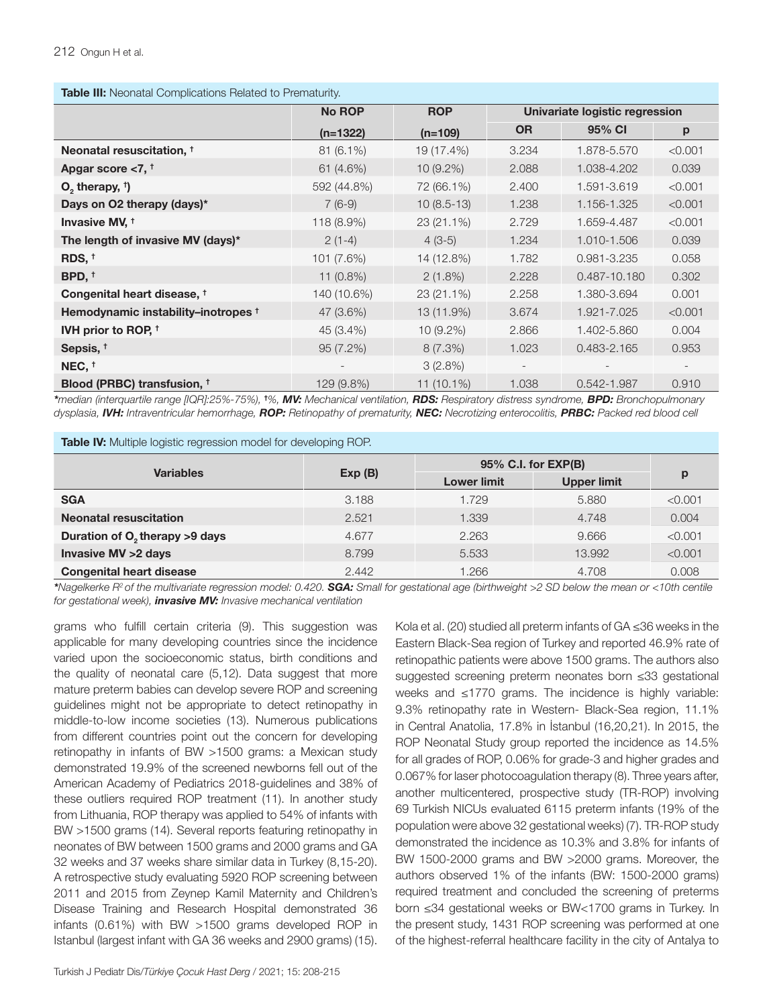| Table III: Neonatal Complications Related to Prematurity. |  |  |  |
|-----------------------------------------------------------|--|--|--|
|-----------------------------------------------------------|--|--|--|

| <b>rable in.</b> Producted Complications highered to Fightarding. |               |              |                                |              |         |  |  |  |
|-------------------------------------------------------------------|---------------|--------------|--------------------------------|--------------|---------|--|--|--|
|                                                                   | <b>No ROP</b> | <b>ROP</b>   | Univariate logistic regression |              |         |  |  |  |
|                                                                   | $(n=1322)$    | $(n=109)$    | <b>OR</b>                      | 95% CI       | р       |  |  |  |
| Neonatal resuscitation, <sup>†</sup>                              | 81 (6.1%)     | 19 (17.4%)   | 3.234                          | 1.878-5.570  | < 0.001 |  |  |  |
| Apgar score $< 7$ , $†$                                           | 61 (4.6%)     | $10(9.2\%)$  | 2.088                          | 1.038-4.202  | 0.039   |  |  |  |
| $O_2$ , therapy, $\uparrow$                                       | 592 (44.8%)   | 72 (66.1%)   | 2.400                          | 1.591-3.619  | < 0.001 |  |  |  |
| Days on O2 therapy (days)*                                        | $7(6-9)$      | $10(8.5-13)$ | 1.238                          | 1.156-1.325  | < 0.001 |  |  |  |
| Invasive MV, <sup>†</sup>                                         | 118 (8.9%)    | 23 (21.1%)   | 2.729                          | 1.659-4.487  | < 0.001 |  |  |  |
| The length of invasive MV (days)*                                 | $2(1-4)$      | $4(3-5)$     | 1.234                          | 1.010-1.506  | 0.039   |  |  |  |
| RDS, †                                                            | 101 (7.6%)    | 14 (12.8%)   | 1.782                          | 0.981-3.235  | 0.058   |  |  |  |
| BPD, <sup>†</sup>                                                 | $11(0.8\%)$   | $2(1.8\%)$   | 2.228                          | 0.487-10.180 | 0.302   |  |  |  |
| Congenital heart disease, †                                       | 140 (10.6%)   | 23 (21.1%)   | 2.258                          | 1.380-3.694  | 0.001   |  |  |  |
| Hemodynamic instability-inotropes <sup>+</sup>                    | 47 (3.6%)     | 13 (11.9%)   | 3.674                          | 1.921-7.025  | < 0.001 |  |  |  |
| IVH prior to ROP, $\dagger$                                       | 45 (3.4%)     | 10 (9.2%)    | 2.866                          | 1.402-5.860  | 0.004   |  |  |  |
| Sepsis, <sup>†</sup>                                              | 95(7.2%)      | 8(7.3%)      | 1.023                          | 0.483-2.165  | 0.953   |  |  |  |
| NEC, <sup>†</sup>                                                 |               | 3(2.8%)      |                                |              |         |  |  |  |
| Blood (PRBC) transfusion, <sup>†</sup>                            | 129 (9.8%)    | 11 (10.1%)   | 1.038                          | 0.542-1.987  | 0.910   |  |  |  |

*\*median (interquartile range [IQR]:25%-75%),* **†** *%, MV: Mechanical ventilation, RDS: Respiratory distress syndrome, BPD: Bronchopulmonary dysplasia, IVH: Intraventricular hemorrhage, ROP: Retinopathy of prematurity, NEC: Necrotizing enterocolitis, PRBC: Packed red blood cell* 

|  |  |  |  |  |  |  | Table IV: Multiple logistic regression model for developing ROP. |
|--|--|--|--|--|--|--|------------------------------------------------------------------|
|--|--|--|--|--|--|--|------------------------------------------------------------------|

| <b>Variables</b>                           | Exp(B) | 95% C.I. for EXP(B) |                    |         |
|--------------------------------------------|--------|---------------------|--------------------|---------|
|                                            |        | <b>Lower limit</b>  | <b>Upper limit</b> | p       |
| <b>SGA</b>                                 | 3.188  | 1.729               | 5,880              | < 0.001 |
| <b>Neonatal resuscitation</b>              | 2.521  | 1.339               | 4.748              | 0.004   |
| Duration of O <sub>2</sub> therapy >9 days | 4.677  | 2.263               | 9.666              | < 0.001 |
| <b>Invasive MV &gt;2 days</b>              | 8.799  | 5.533               | 13.992             | < 0.001 |
| <b>Congenital heart disease</b>            | 2.442  | 1.266               | 4.708              | 0.008   |

*\*Nagelkerke R2 of the multivariate regression model: 0.420. SGA: Small for gestational age (birthweight >2 SD below the mean or <10th centile for gestational week), invasive MV: Invasive mechanical ventilation*

grams who fulfill certain criteria (9). This suggestion was applicable for many developing countries since the incidence varied upon the socioeconomic status, birth conditions and the quality of neonatal care (5,12). Data suggest that more mature preterm babies can develop severe ROP and screening guidelines might not be appropriate to detect retinopathy in middle-to-low income societies (13). Numerous publications from different countries point out the concern for developing retinopathy in infants of BW >1500 grams: a Mexican study demonstrated 19.9% of the screened newborns fell out of the American Academy of Pediatrics 2018-guidelines and 38% of these outliers required ROP treatment (11). In another study from Lithuania, ROP therapy was applied to 54% of infants with BW >1500 grams (14). Several reports featuring retinopathy in neonates of BW between 1500 grams and 2000 grams and GA 32 weeks and 37 weeks share similar data in Turkey (8,15-20). A retrospective study evaluating 5920 ROP screening between 2011 and 2015 from Zeynep Kamil Maternity and Children's Disease Training and Research Hospital demonstrated 36 infants (0.61%) with BW >1500 grams developed ROP in Istanbul (largest infant with GA 36 weeks and 2900 grams) (15).

Eastern Black-Sea region of Turkey and reported 46.9% rate of retinopathic patients were above 1500 grams. The authors also suggested screening preterm neonates born ≤33 gestational weeks and ≤1770 grams. The incidence is highly variable: 9.3% retinopathy rate in Western- Black-Sea region, 11.1% in Central Anatolia, 17.8% in İstanbul (16,20,21). In 2015, the ROP Neonatal Study group reported the incidence as 14.5% for all grades of ROP, 0.06% for grade-3 and higher grades and 0.067% for laser photocoagulation therapy (8). Three years after, another multicentered, prospective study (TR-ROP) involving 69 Turkish NICUs evaluated 6115 preterm infants (19% of the population were above 32 gestational weeks) (7). TR-ROP study demonstrated the incidence as 10.3% and 3.8% for infants of BW 1500-2000 grams and BW >2000 grams. Moreover, the authors observed 1% of the infants (BW: 1500-2000 grams) required treatment and concluded the screening of preterms born ≤34 gestational weeks or BW<1700 grams in Turkey. In the present study, 1431 ROP screening was performed at one of the highest-referral healthcare facility in the city of Antalya to

Kola et al. (20) studied all preterm infants of GA ≤36 weeks in the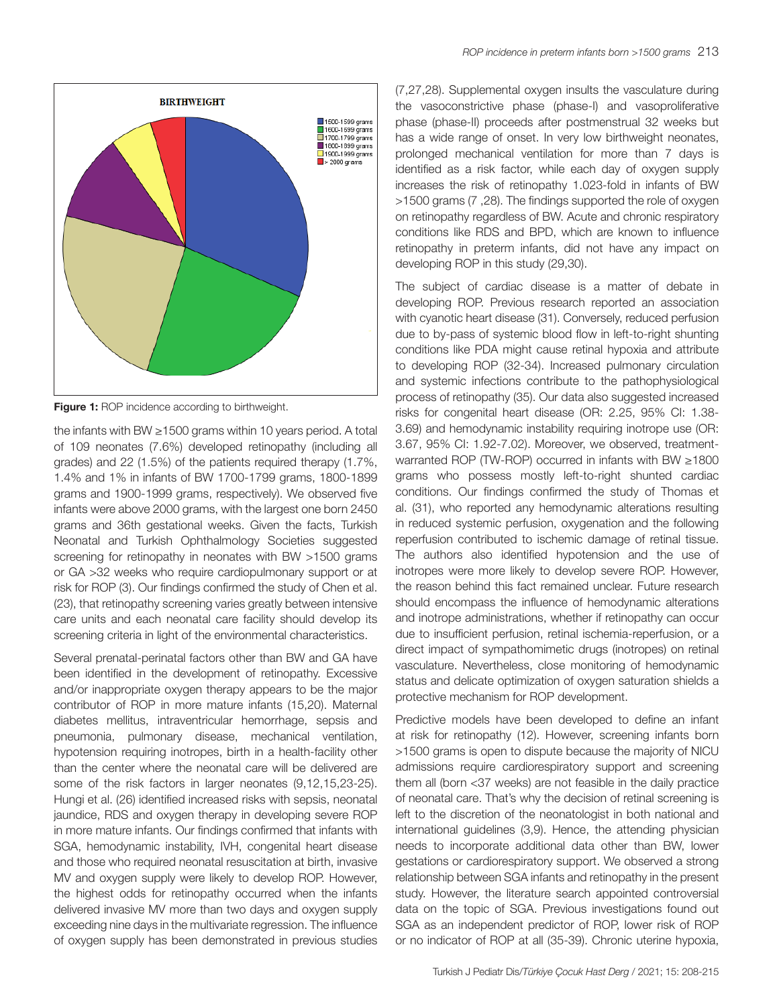

**Figure 1:** ROP incidence according to birthweight.

the infants with BW ≥1500 grams within 10 years period. A total of 109 neonates (7.6%) developed retinopathy (including all grades) and 22 (1.5%) of the patients required therapy (1.7%, 1.4% and 1% in infants of BW 1700-1799 grams, 1800-1899 grams and 1900-1999 grams, respectively). We observed five infants were above 2000 grams, with the largest one born 2450 grams and 36th gestational weeks. Given the facts, Turkish Neonatal and Turkish Ophthalmology Societies suggested screening for retinopathy in neonates with BW >1500 grams or GA >32 weeks who require cardiopulmonary support or at risk for ROP (3). Our findings confirmed the study of Chen et al. (23), that retinopathy screening varies greatly between intensive care units and each neonatal care facility should develop its screening criteria in light of the environmental characteristics.

Several prenatal-perinatal factors other than BW and GA have been identified in the development of retinopathy. Excessive and/or inappropriate oxygen therapy appears to be the major contributor of ROP in more mature infants (15,20). Maternal diabetes mellitus, intraventricular hemorrhage, sepsis and pneumonia, pulmonary disease, mechanical ventilation, hypotension requiring inotropes, birth in a health-facility other than the center where the neonatal care will be delivered are some of the risk factors in larger neonates (9,12,15,23-25). Hungi et al. (26) identified increased risks with sepsis, neonatal jaundice, RDS and oxygen therapy in developing severe ROP in more mature infants. Our findings confirmed that infants with SGA, hemodynamic instability, IVH, congenital heart disease and those who required neonatal resuscitation at birth, invasive MV and oxygen supply were likely to develop ROP. However, the highest odds for retinopathy occurred when the infants delivered invasive MV more than two days and oxygen supply exceeding nine days in the multivariate regression. The influence of oxygen supply has been demonstrated in previous studies (7,27,28). Supplemental oxygen insults the vasculature during the vasoconstrictive phase (phase-I) and vasoproliferative phase (phase-II) proceeds after postmenstrual 32 weeks but has a wide range of onset. In very low birthweight neonates, prolonged mechanical ventilation for more than 7 days is identified as a risk factor, while each day of oxygen supply increases the risk of retinopathy 1.023-fold in infants of BW >1500 grams (7 ,28). The findings supported the role of oxygen on retinopathy regardless of BW. Acute and chronic respiratory conditions like RDS and BPD, which are known to influence retinopathy in preterm infants, did not have any impact on developing ROP in this study (29,30).

The subject of cardiac disease is a matter of debate in developing ROP. Previous research reported an association with cyanotic heart disease (31). Conversely, reduced perfusion due to by-pass of systemic blood flow in left-to-right shunting conditions like PDA might cause retinal hypoxia and attribute to developing ROP (32-34). Increased pulmonary circulation and systemic infections contribute to the pathophysiological process of retinopathy (35). Our data also suggested increased risks for congenital heart disease (OR: 2.25, 95% CI: 1.38- 3.69) and hemodynamic instability requiring inotrope use (OR: 3.67, 95% CI: 1.92-7.02). Moreover, we observed, treatmentwarranted ROP (TW-ROP) occurred in infants with BW ≥1800 grams who possess mostly left-to-right shunted cardiac conditions. Our findings confirmed the study of Thomas et al. (31), who reported any hemodynamic alterations resulting in reduced systemic perfusion, oxygenation and the following reperfusion contributed to ischemic damage of retinal tissue. The authors also identified hypotension and the use of inotropes were more likely to develop severe ROP. However, the reason behind this fact remained unclear. Future research should encompass the influence of hemodynamic alterations and inotrope administrations, whether if retinopathy can occur due to insufficient perfusion, retinal ischemia-reperfusion, or a direct impact of sympathomimetic drugs (inotropes) on retinal vasculature. Nevertheless, close monitoring of hemodynamic status and delicate optimization of oxygen saturation shields a protective mechanism for ROP development.

Predictive models have been developed to define an infant at risk for retinopathy (12). However, screening infants born >1500 grams is open to dispute because the majority of NICU admissions require cardiorespiratory support and screening them all (born <37 weeks) are not feasible in the daily practice of neonatal care. That's why the decision of retinal screening is left to the discretion of the neonatologist in both national and international guidelines (3,9). Hence, the attending physician needs to incorporate additional data other than BW, lower gestations or cardiorespiratory support. We observed a strong relationship between SGA infants and retinopathy in the present study. However, the literature search appointed controversial data on the topic of SGA. Previous investigations found out SGA as an independent predictor of ROP, lower risk of ROP or no indicator of ROP at all (35-39). Chronic uterine hypoxia,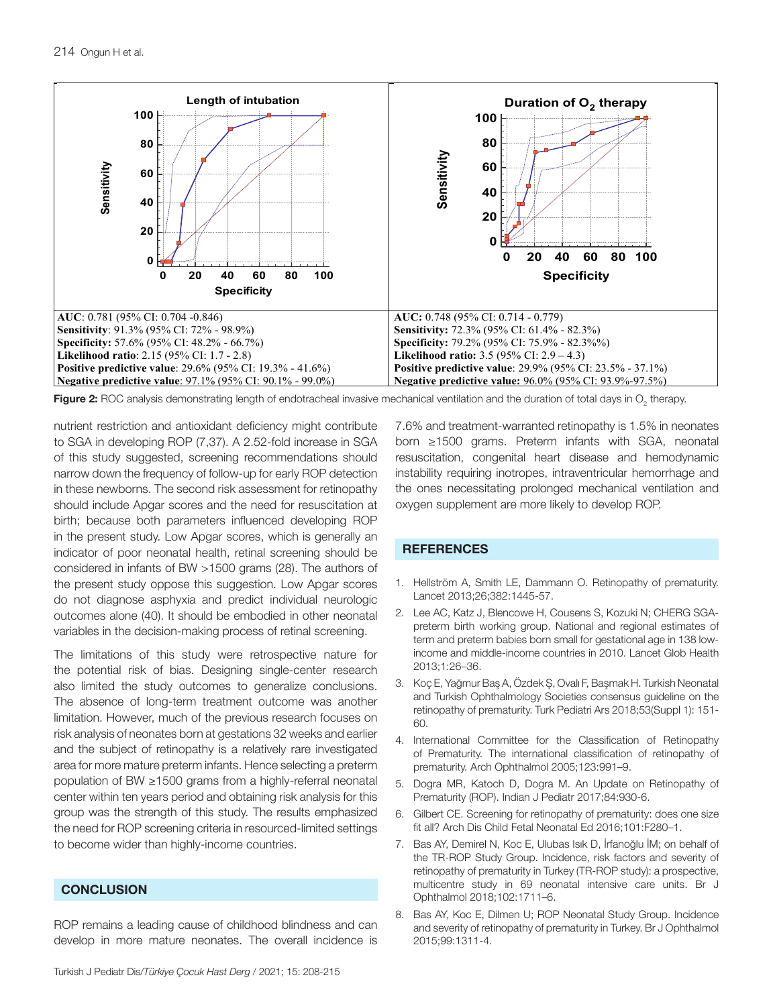

**Figure 2:** ROC analysis demonstrating length of endotracheal invasive mechanical ventilation and the duration of total days in  $O_2$  therapy.

nutrient restriction and antioxidant deficiency might contribute to SGA in developing ROP (7,37). A 2.52-fold increase in SGA of this study suggested, screening recommendations should narrow down the frequency of follow-up for early ROP detection in these newborns. The second risk assessment for retinopathy should include Apgar scores and the need for resuscitation at birth; because both parameters influenced developing ROP in the present study. Low Apgar scores, which is generally an indicator of poor neonatal health, retinal screening should be considered in infants of BW >1500 grams (28). The authors of the present study oppose this suggestion. Low Apgar scores do not diagnose asphyxia and predict individual neurologic outcomes alone (40). It should be embodied in other neonatal variables in the decision-making process of retinal screening.

The limitations of this study were retrospective nature for the potential risk of bias. Designing single-center research also limited the study outcomes to generalize conclusions. The absence of long-term treatment outcome was another limitation. However, much of the previous research focuses on risk analysis of neonates born at gestations 32 weeks and earlier and the subject of retinopathy is a relatively rare investigated area for more mature preterm infants. Hence selecting a preterm population of BW ≥1500 grams from a highly-referral neonatal center within ten years period and obtaining risk analysis for this group was the strength of this study. The results emphasized the need for ROP screening criteria in resourced-limited settings to become wider than highly-income countries.

### **CONCLUSION**

ROP remains a leading cause of childhood blindness and can develop in more mature neonates. The overall incidence is

7.6% and treatment-warranted retinopathy is 1.5% in neonates born ≥1500 grams. Preterm infants with SGA, neonatal resuscitation, congenital heart disease and hemodynamic instability requiring inotropes, intraventricular hemorrhage and the ones necessitating prolonged mechanical ventilation and oxygen supplement are more likely to develop ROP.

## **REFERENCES**

- 1. Hellström A, Smith LE, Dammann O. Retinopathy of prematurity. Lancet 2013;26;382:1445-57.
- 2. Lee AC, Katz J, Blencowe H, Cousens S, Kozuki N; CHERG SGApreterm birth working group. National and regional estimates of term and preterm babies born small for gestational age in 138 lowincome and middle-income countries in 2010. Lancet Glob Health 2013;1:26–36.
- 3. Koç E, Yağmur Baş A, Özdek Ş, Ovalı F, Başmak H. Turkish Neonatal and Turkish Ophthalmology Societies consensus guideline on the retinopathy of prematurity. Turk Pediatri Ars 2018;53(Suppl 1): 151- 60.
- 4. International Committee for the Classification of Retinopathy of Prematurity. The international classification of retinopathy of prematurity. Arch Ophthalmol 2005;123:991–9.
- 5. Dogra MR, Katoch D, Dogra M. An Update on Retinopathy of Prematurity (ROP). Indian J Pediatr 2017;84:930-6.
- 6. Gilbert CE. Screening for retinopathy of prematurity: does one size fit all? Arch Dis Child Fetal Neonatal Ed 2016;101:F280–1.
- 7. Bas AY, Demirel N, Koc E, Ulubas Isık D, İrfanoğlu İM; on behalf of the TR-ROP Study Group. Incidence, risk factors and severity of retinopathy of prematurity in Turkey (TR-ROP study): a prospective, multicentre study in 69 neonatal intensive care units. Br J Ophthalmol 2018;102:1711–6.
- 8. Bas AY, Koc E, Dilmen U; ROP Neonatal Study Group. Incidence and severity of retinopathy of prematurity in Turkey. Br J Ophthalmol 2015;99:1311-4.